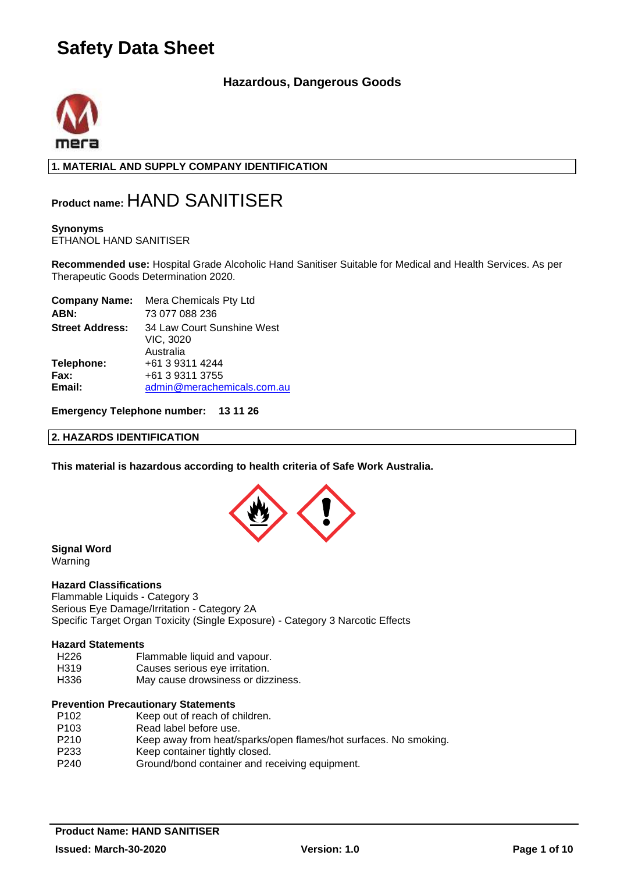### **Hazardous, Dangerous Goods**



**1. MATERIAL AND SUPPLY COMPANY IDENTIFICATION**

## **Product name:** HAND SANITISER

### **Synonyms**

ETHANOL HAND SANITISER

**Recommended use:** Hospital Grade Alcoholic Hand Sanitiser Suitable for Medical and Health Services. As per Therapeutic Goods Determination 2020.

| admin@merachemicals.com.au |
|----------------------------|
| 34 Law Court Sunshine West |

**Emergency Telephone number: 13 11 26**

#### **2. HAZARDS IDENTIFICATION**

**This material is hazardous according to health criteria of Safe Work Australia.**



### **Signal Word**

Warning

#### **Hazard Classifications**

Flammable Liquids - Category 3 Serious Eye Damage/Irritation - Category 2A Specific Target Organ Toxicity (Single Exposure) - Category 3 Narcotic Effects

### **Hazard Statements**

- H226 Flammable liquid and vapour.<br>H319 Causes serious eve irritation.
- Causes serious eye irritation.
- H336 May cause drowsiness or dizziness.

#### **Prevention Precautionary Statements**

| P <sub>102</sub> | Keep out of reach of children.                                   |
|------------------|------------------------------------------------------------------|
| P <sub>103</sub> | Read label before use.                                           |
| P <sub>210</sub> | Keep away from heat/sparks/open flames/hot surfaces. No smoking. |
| P <sub>233</sub> | Keep container tightly closed.                                   |
| P240             | Ground/bond container and receiving equipment.                   |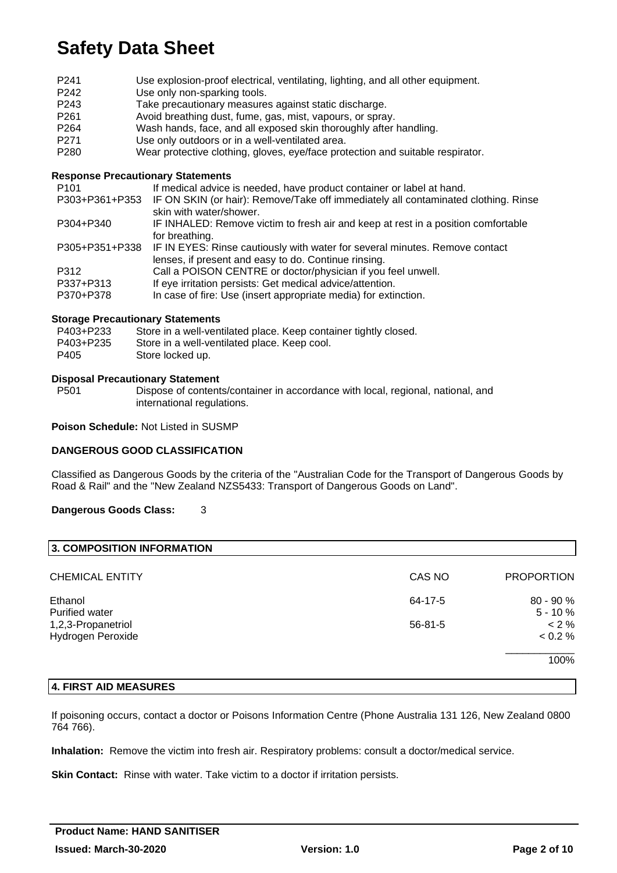| P <sub>241</sub> | Use explosion-proof electrical, ventilating, lighting, and all other equipment.    |  |
|------------------|------------------------------------------------------------------------------------|--|
| P <sub>242</sub> | Use only non-sparking tools.                                                       |  |
| P243             | Take precautionary measures against static discharge.                              |  |
| P <sub>261</sub> | Avoid breathing dust, fume, gas, mist, vapours, or spray.                          |  |
| P <sub>264</sub> | Wash hands, face, and all exposed skin thoroughly after handling.                  |  |
| P <sub>271</sub> | Use only outdoors or in a well-ventilated area.                                    |  |
| P <sub>280</sub> | Wear protective clothing, gloves, eye/face protection and suitable respirator.     |  |
|                  |                                                                                    |  |
|                  | <b>Response Precautionary Statements</b>                                           |  |
| P <sub>101</sub> | If medical advice is needed, have product container or label at hand.              |  |
| P303+P361+P353   | IF ON SKIN (or hair): Remove/Take off immediately all contaminated clothing. Rinse |  |
|                  | skin with water/shower.                                                            |  |
| P304+P340        | IF INHALED: Remove victim to fresh air and keep at rest in a position comfortable  |  |
|                  | for breathing.                                                                     |  |
| P305+P351+P338   | IF IN EYES: Rinse cautiously with water for several minutes. Remove contact        |  |
|                  | lenses, if present and easy to do. Continue rinsing.                               |  |
| D210             | Call a DOISON CENTRE or doctor/physician if you fool unwall                        |  |

- 
- P312 Call a POISON CENTRE or doctor/physician if you feel unwell.<br>P337+P313 If eve irritation persists: Get medical advice/attention. If eye irritation persists: Get medical advice/attention.
- P370+P378 In case of fire: Use (insert appropriate media) for extinction.

#### **Storage Precautionary Statements**

| P403+P233 | Store in a well-ventilated place. Keep container tightly closed. |
|-----------|------------------------------------------------------------------|
| P403+P235 | Store in a well-ventilated place. Keep cool.                     |
| P405      | Store locked up.                                                 |

## **Disposal Precautionary Statement**

Dispose of contents/container in accordance with local, regional, national, and international regulations.

**Poison Schedule:** Not Listed in SUSMP

#### **DANGEROUS GOOD CLASSIFICATION**

Classified as Dangerous Goods by the criteria of the "Australian Code for the Transport of Dangerous Goods by Road & Rail" and the "New Zealand NZS5433: Transport of Dangerous Goods on Land".

#### **Dangerous Goods Class:** 3

| 3. COMPOSITION INFORMATION              |               |                           |
|-----------------------------------------|---------------|---------------------------|
| <b>CHEMICAL ENTITY</b>                  | CAS NO        | <b>PROPORTION</b>         |
| Ethanol<br><b>Purified water</b>        | 64-17-5       | $80 - 90 \%$<br>$5 - 10%$ |
| 1,2,3-Propanetriol<br>Hydrogen Peroxide | $56 - 81 - 5$ | $< 2 \%$<br>< 0.2 %       |
|                                         |               | 100%                      |

#### **4. FIRST AID MEASURES**

If poisoning occurs, contact a doctor or Poisons Information Centre (Phone Australia 131 126, New Zealand 0800 764 766).

**Inhalation:** Remove the victim into fresh air. Respiratory problems: consult a doctor/medical service.

**Skin Contact:** Rinse with water. Take victim to a doctor if irritation persists.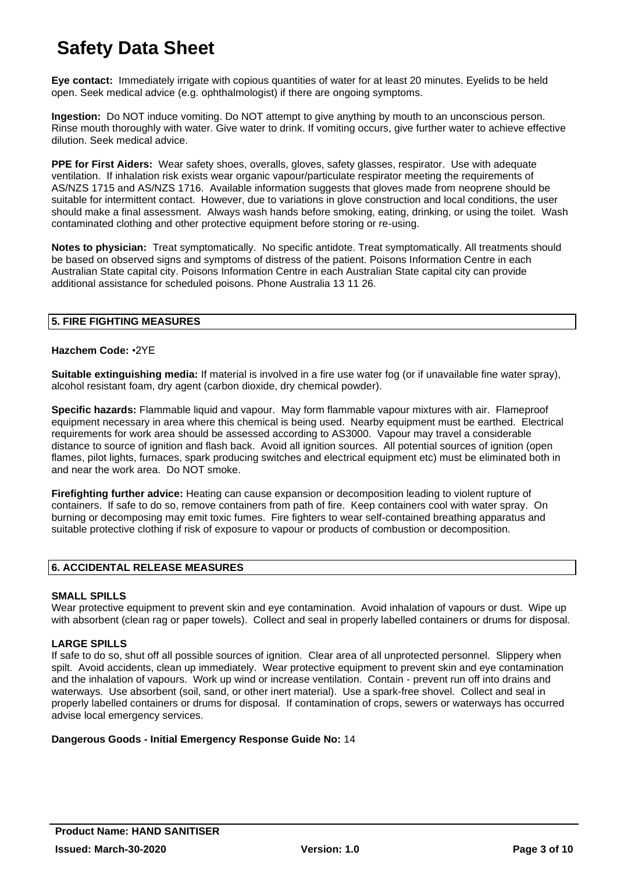**Eye contact:** Immediately irrigate with copious quantities of water for at least 20 minutes. Eyelids to be held open. Seek medical advice (e.g. ophthalmologist) if there are ongoing symptoms.

**Ingestion:** Do NOT induce vomiting. Do NOT attempt to give anything by mouth to an unconscious person. Rinse mouth thoroughly with water. Give water to drink. If vomiting occurs, give further water to achieve effective dilution. Seek medical advice.

**PPE for First Aiders:** Wear safety shoes, overalls, gloves, safety glasses, respirator. Use with adequate ventilation. If inhalation risk exists wear organic vapour/particulate respirator meeting the requirements of AS/NZS 1715 and AS/NZS 1716. Available information suggests that gloves made from neoprene should be suitable for intermittent contact. However, due to variations in glove construction and local conditions, the user should make a final assessment. Always wash hands before smoking, eating, drinking, or using the toilet. Wash contaminated clothing and other protective equipment before storing or re-using.

**Notes to physician:** Treat symptomatically. No specific antidote. Treat symptomatically. All treatments should be based on observed signs and symptoms of distress of the patient. Poisons Information Centre in each Australian State capital city. Poisons Information Centre in each Australian State capital city can provide additional assistance for scheduled poisons. Phone Australia 13 11 26.

#### **5. FIRE FIGHTING MEASURES**

#### **Hazchem Code:** •2YE

**Suitable extinguishing media:** If material is involved in a fire use water fog (or if unavailable fine water spray), alcohol resistant foam, dry agent (carbon dioxide, dry chemical powder).

**Specific hazards:** Flammable liquid and vapour. May form flammable vapour mixtures with air. Flameproof equipment necessary in area where this chemical is being used. Nearby equipment must be earthed. Electrical requirements for work area should be assessed according to AS3000. Vapour may travel a considerable distance to source of ignition and flash back. Avoid all ignition sources. All potential sources of ignition (open flames, pilot lights, furnaces, spark producing switches and electrical equipment etc) must be eliminated both in and near the work area. Do NOT smoke.

**Firefighting further advice:** Heating can cause expansion or decomposition leading to violent rupture of containers. If safe to do so, remove containers from path of fire. Keep containers cool with water spray. On burning or decomposing may emit toxic fumes. Fire fighters to wear self-contained breathing apparatus and suitable protective clothing if risk of exposure to vapour or products of combustion or decomposition.

#### **6. ACCIDENTAL RELEASE MEASURES**

#### **SMALL SPILLS**

Wear protective equipment to prevent skin and eve contamination. Avoid inhalation of vapours or dust. Wipe up with absorbent (clean rag or paper towels). Collect and seal in properly labelled containers or drums for disposal.

#### **LARGE SPILLS**

If safe to do so, shut off all possible sources of ignition. Clear area of all unprotected personnel. Slippery when spilt. Avoid accidents, clean up immediately. Wear protective equipment to prevent skin and eye contamination and the inhalation of vapours. Work up wind or increase ventilation. Contain - prevent run off into drains and waterways. Use absorbent (soil, sand, or other inert material). Use a spark-free shovel. Collect and seal in properly labelled containers or drums for disposal. If contamination of crops, sewers or waterways has occurred advise local emergency services.

#### **Dangerous Goods - Initial Emergency Response Guide No:** 14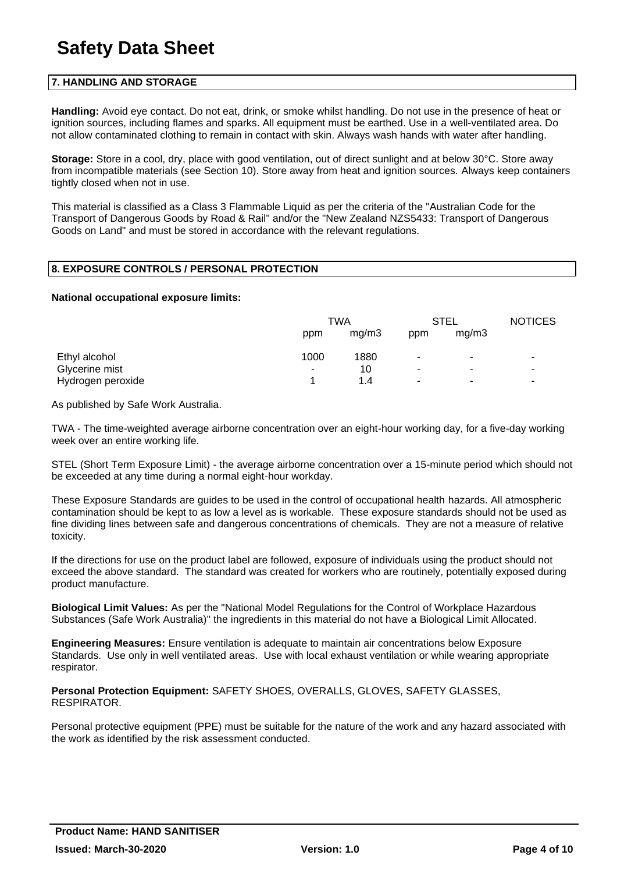#### **7. HANDLING AND STORAGE**

**Handling:** Avoid eye contact. Do not eat, drink, or smoke whilst handling. Do not use in the presence of heat or ignition sources, including flames and sparks. All equipment must be earthed. Use in a well-ventilated area. Do not allow contaminated clothing to remain in contact with skin. Always wash hands with water after handling.

**Storage:** Store in a cool, dry, place with good ventilation, out of direct sunlight and at below 30°C. Store away from incompatible materials (see Section 10). Store away from heat and ignition sources. Always keep containers tightly closed when not in use.

This material is classified as a Class 3 Flammable Liquid as per the criteria of the "Australian Code for the Transport of Dangerous Goods by Road & Rail" and/or the "New Zealand NZS5433: Transport of Dangerous Goods on Land" and must be stored in accordance with the relevant regulations.

### **8. EXPOSURE CONTROLS / PERSONAL PROTECTION**

#### **National occupational exposure limits:**

|                   | TWA  |       | <b>STEL</b>           |                | <b>NOTICES</b>           |
|-------------------|------|-------|-----------------------|----------------|--------------------------|
|                   | ppm  | mq/m3 | ppm                   | mq/m3          |                          |
| Ethyl alcohol     | 1000 | 1880  | ٠                     | ۰              | ۰                        |
| Glycerine mist    | ۰    | 10    | ٠                     | ۰              | ٠                        |
| Hydrogen peroxide |      | 1.4   | $\tilde{\phantom{a}}$ | $\blacksquare$ | $\overline{\phantom{a}}$ |

As published by Safe Work Australia.

TWA - The time-weighted average airborne concentration over an eight-hour working day, for a five-day working week over an entire working life.

STEL (Short Term Exposure Limit) - the average airborne concentration over a 15-minute period which should not be exceeded at any time during a normal eight-hour workday.

These Exposure Standards are guides to be used in the control of occupational health hazards. All atmospheric contamination should be kept to as low a level as is workable. These exposure standards should not be used as fine dividing lines between safe and dangerous concentrations of chemicals. They are not a measure of relative toxicity.

If the directions for use on the product label are followed, exposure of individuals using the product should not exceed the above standard. The standard was created for workers who are routinely, potentially exposed during product manufacture.

**Biological Limit Values:** As per the "National Model Regulations for the Control of Workplace Hazardous Substances (Safe Work Australia)" the ingredients in this material do not have a Biological Limit Allocated.

**Engineering Measures:** Ensure ventilation is adequate to maintain air concentrations below Exposure Standards. Use only in well ventilated areas. Use with local exhaust ventilation or while wearing appropriate respirator.

**Personal Protection Equipment:** SAFETY SHOES, OVERALLS, GLOVES, SAFETY GLASSES, RESPIRATOR.

Personal protective equipment (PPE) must be suitable for the nature of the work and any hazard associated with the work as identified by the risk assessment conducted.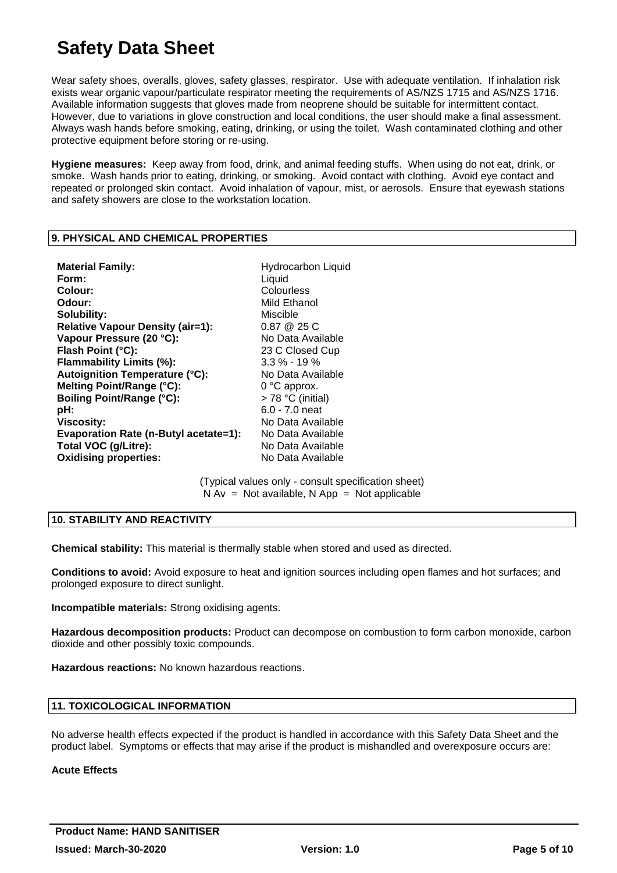Wear safety shoes, overalls, gloves, safety glasses, respirator. Use with adequate ventilation. If inhalation risk exists wear organic vapour/particulate respirator meeting the requirements of AS/NZS 1715 and AS/NZS 1716. Available information suggests that gloves made from neoprene should be suitable for intermittent contact. However, due to variations in glove construction and local conditions, the user should make a final assessment. Always wash hands before smoking, eating, drinking, or using the toilet. Wash contaminated clothing and other protective equipment before storing or re-using.

**Hygiene measures:** Keep away from food, drink, and animal feeding stuffs. When using do not eat, drink, or smoke. Wash hands prior to eating, drinking, or smoking. Avoid contact with clothing. Avoid eye contact and repeated or prolonged skin contact. Avoid inhalation of vapour, mist, or aerosols. Ensure that eyewash stations and safety showers are close to the workstation location.

#### **9. PHYSICAL AND CHEMICAL PROPERTIES**

**Material Family: Hydrocarbon Liquid Form:** Liquid **Colour:** Colourless **Odour:** Mild Ethanol **Solubility:** Miscible **Relative Vapour Density (air=1):** 0.87 @ 25 C **Vapour Pressure (20 °C):** No Data Available Flash Point (°C): 23 C Closed Cup **Flammability Limits (%):** 3.3 % - 19 %<br> **Autoignition Temperature (°C):** No Data Available Autoignition Temperature (°C): **Melting Point/Range (°C):** 0 °C approx. **Boiling Point/Range (°C):** > 78 °C (initial) **pH:** 6.0 - 7.0 neat **Viscosity:** No Data Available **Evaporation Rate (n-Butyl acetate=1):** No Data Available Total VOC (g/Litre): No Data Available **Oxidising properties:** No Data Available

(Typical values only - consult specification sheet)  $N Av = Not available, N App = Not applicable$ 

#### **10. STABILITY AND REACTIVITY**

**Chemical stability:** This material is thermally stable when stored and used as directed.

**Conditions to avoid:** Avoid exposure to heat and ignition sources including open flames and hot surfaces; and prolonged exposure to direct sunlight.

**Incompatible materials:** Strong oxidising agents.

**Hazardous decomposition products:** Product can decompose on combustion to form carbon monoxide, carbon dioxide and other possibly toxic compounds.

**Hazardous reactions:** No known hazardous reactions.

#### **11. TOXICOLOGICAL INFORMATION**

No adverse health effects expected if the product is handled in accordance with this Safety Data Sheet and the product label. Symptoms or effects that may arise if the product is mishandled and overexposure occurs are:

#### **Acute Effects**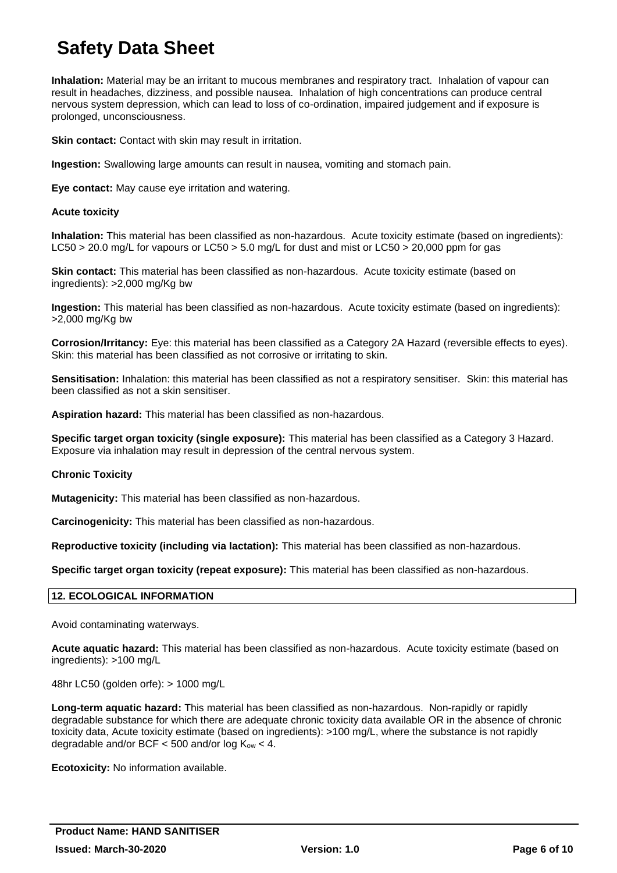**Inhalation:** Material may be an irritant to mucous membranes and respiratory tract. Inhalation of vapour can result in headaches, dizziness, and possible nausea. Inhalation of high concentrations can produce central nervous system depression, which can lead to loss of co-ordination, impaired judgement and if exposure is prolonged, unconsciousness.

**Skin contact:** Contact with skin may result in irritation.

**Ingestion:** Swallowing large amounts can result in nausea, vomiting and stomach pain.

**Eye contact:** May cause eye irritation and watering.

#### **Acute toxicity**

**Inhalation:** This material has been classified as non-hazardous. Acute toxicity estimate (based on ingredients): LC50 > 20.0 mg/L for vapours or LC50 > 5.0 mg/L for dust and mist or LC50 > 20,000 ppm for gas

**Skin contact:** This material has been classified as non-hazardous. Acute toxicity estimate (based on ingredients): >2,000 mg/Kg bw

**Ingestion:** This material has been classified as non-hazardous. Acute toxicity estimate (based on ingredients): >2,000 mg/Kg bw

**Corrosion/Irritancy:** Eye: this material has been classified as a Category 2A Hazard (reversible effects to eyes). Skin: this material has been classified as not corrosive or irritating to skin.

**Sensitisation:** Inhalation: this material has been classified as not a respiratory sensitiser. Skin: this material has been classified as not a skin sensitiser.

**Aspiration hazard:** This material has been classified as non-hazardous.

**Specific target organ toxicity (single exposure):** This material has been classified as a Category 3 Hazard. Exposure via inhalation may result in depression of the central nervous system.

#### **Chronic Toxicity**

**Mutagenicity:** This material has been classified as non-hazardous.

**Carcinogenicity:** This material has been classified as non-hazardous.

**Reproductive toxicity (including via lactation):** This material has been classified as non-hazardous.

**Specific target organ toxicity (repeat exposure):** This material has been classified as non-hazardous.

#### **12. ECOLOGICAL INFORMATION**

Avoid contaminating waterways.

**Acute aquatic hazard:** This material has been classified as non-hazardous. Acute toxicity estimate (based on ingredients): >100 mg/L

48hr LC50 (golden orfe): > 1000 mg/L

**Long-term aquatic hazard:** This material has been classified as non-hazardous. Non-rapidly or rapidly degradable substance for which there are adequate chronic toxicity data available OR in the absence of chronic toxicity data, Acute toxicity estimate (based on ingredients): >100 mg/L, where the substance is not rapidly degradable and/or BCF  $<$  500 and/or log  $K_{ow}$   $<$  4.

**Ecotoxicity:** No information available.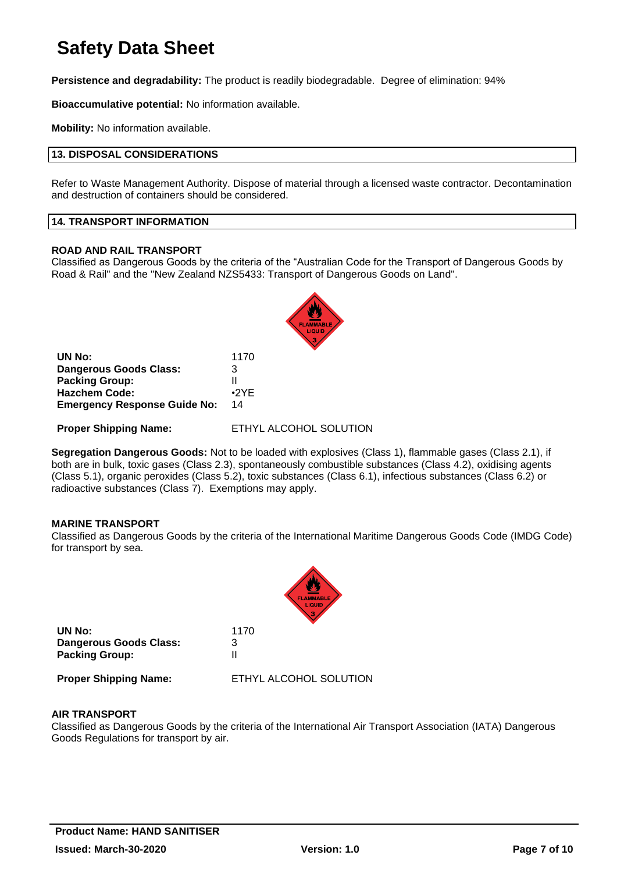**Persistence and degradability:** The product is readily biodegradable. Degree of elimination: 94%

**Bioaccumulative potential:** No information available.

**Mobility:** No information available.

#### **13. DISPOSAL CONSIDERATIONS**

Refer to Waste Management Authority. Dispose of material through a licensed waste contractor. Decontamination and destruction of containers should be considered.

#### **14. TRANSPORT INFORMATION**

#### **ROAD AND RAIL TRANSPORT**

Classified as Dangerous Goods by the criteria of the "Australian Code for the Transport of Dangerous Goods by Road & Rail" and the "New Zealand NZS5433: Transport of Dangerous Goods on Land".



| UN No:                              | 1170        |
|-------------------------------------|-------------|
| <b>Dangerous Goods Class:</b>       | з           |
| <b>Packing Group:</b>               | Ш           |
| <b>Hazchem Code:</b>                | $\cdot$ 2YF |
| <b>Emergency Response Guide No:</b> | 14          |

**Proper Shipping Name:** ETHYL ALCOHOL SOLUTION

**Segregation Dangerous Goods:** Not to be loaded with explosives (Class 1), flammable gases (Class 2.1), if both are in bulk, toxic gases (Class 2.3), spontaneously combustible substances (Class 4.2), oxidising agents (Class 5.1), organic peroxides (Class 5.2), toxic substances (Class 6.1), infectious substances (Class 6.2) or radioactive substances (Class 7). Exemptions may apply.

#### **MARINE TRANSPORT**

Classified as Dangerous Goods by the criteria of the International Maritime Dangerous Goods Code (IMDG Code) for transport by sea.

|                                                                  | <b>FLAMMABLE</b>       |
|------------------------------------------------------------------|------------------------|
| UN No:<br><b>Dangerous Goods Class:</b><br><b>Packing Group:</b> | 1170<br>3              |
| <b>Proper Shipping Name:</b>                                     | ETHYL ALCOHOL SOLUTION |

#### **AIR TRANSPORT**

Classified as Dangerous Goods by the criteria of the International Air Transport Association (IATA) Dangerous Goods Regulations for transport by air.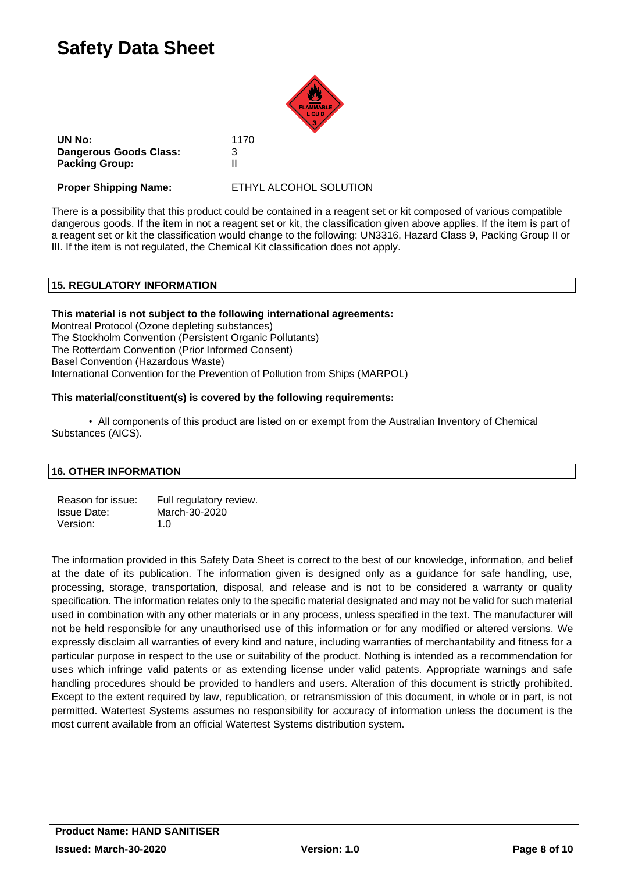

**UN No:** 1170 **Dangerous Goods Class:** 3 **Packing Group:** II

**Proper Shipping Name:** ETHYL ALCOHOL SOLUTION

There is a possibility that this product could be contained in a reagent set or kit composed of various compatible dangerous goods. If the item in not a reagent set or kit, the classification given above applies. If the item is part of a reagent set or kit the classification would change to the following: UN3316, Hazard Class 9, Packing Group II or III. If the item is not regulated, the Chemical Kit classification does not apply.

#### **15. REGULATORY INFORMATION**

#### **This material is not subject to the following international agreements:**

Montreal Protocol (Ozone depleting substances) The Stockholm Convention (Persistent Organic Pollutants) The Rotterdam Convention (Prior Informed Consent) Basel Convention (Hazardous Waste) International Convention for the Prevention of Pollution from Ships (MARPOL)

#### **This material/constituent(s) is covered by the following requirements:**

• All components of this product are listed on or exempt from the Australian Inventory of Chemical Substances (AICS).

#### **16. OTHER INFORMATION**

| Reason for issue:  | Full regulatory review. |
|--------------------|-------------------------|
| <b>Issue Date:</b> | March-30-2020           |
| Version:           | 1. $\Omega$             |

The information provided in this Safety Data Sheet is correct to the best of our knowledge, information, and belief at the date of its publication. The information given is designed only as a guidance for safe handling, use, processing, storage, transportation, disposal, and release and is not to be considered a warranty or quality specification. The information relates only to the specific material designated and may not be valid for such material used in combination with any other materials or in any process, unless specified in the text. The manufacturer will not be held responsible for any unauthorised use of this information or for any modified or altered versions. We expressly disclaim all warranties of every kind and nature, including warranties of merchantability and fitness for a particular purpose in respect to the use or suitability of the product. Nothing is intended as a recommendation for uses which infringe valid patents or as extending license under valid patents. Appropriate warnings and safe handling procedures should be provided to handlers and users. Alteration of this document is strictly prohibited. Except to the extent required by law, republication, or retransmission of this document, in whole or in part, is not permitted. Watertest Systems assumes no responsibility for accuracy of information unless the document is the most current available from an official Watertest Systems distribution system.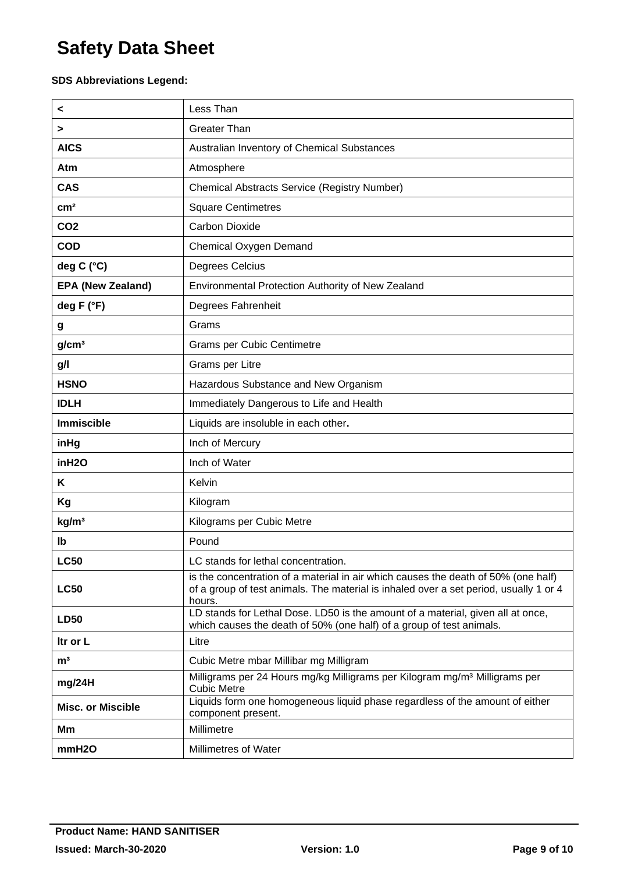#### **SDS Abbreviations Legend:**

| <                        | Less Than                                                                                                                                                                             |
|--------------------------|---------------------------------------------------------------------------------------------------------------------------------------------------------------------------------------|
| >                        | <b>Greater Than</b>                                                                                                                                                                   |
| <b>AICS</b>              | Australian Inventory of Chemical Substances                                                                                                                                           |
| Atm                      | Atmosphere                                                                                                                                                                            |
| <b>CAS</b>               | Chemical Abstracts Service (Registry Number)                                                                                                                                          |
| cm <sup>2</sup>          | <b>Square Centimetres</b>                                                                                                                                                             |
| CO <sub>2</sub>          | <b>Carbon Dioxide</b>                                                                                                                                                                 |
| <b>COD</b>               | <b>Chemical Oxygen Demand</b>                                                                                                                                                         |
| deg C (°C)               | Degrees Celcius                                                                                                                                                                       |
| <b>EPA (New Zealand)</b> | Environmental Protection Authority of New Zealand                                                                                                                                     |
| deg F (°F)               | Degrees Fahrenheit                                                                                                                                                                    |
| g                        | Grams                                                                                                                                                                                 |
| g/cm <sup>3</sup>        | <b>Grams per Cubic Centimetre</b>                                                                                                                                                     |
| g/l                      | Grams per Litre                                                                                                                                                                       |
| <b>HSNO</b>              | Hazardous Substance and New Organism                                                                                                                                                  |
| <b>IDLH</b>              | Immediately Dangerous to Life and Health                                                                                                                                              |
| <b>Immiscible</b>        | Liquids are insoluble in each other.                                                                                                                                                  |
| inHg                     | Inch of Mercury                                                                                                                                                                       |
| inH <sub>20</sub>        | Inch of Water                                                                                                                                                                         |
| Κ                        | Kelvin                                                                                                                                                                                |
| Kg                       | Kilogram                                                                                                                                                                              |
| kg/m <sup>3</sup>        | Kilograms per Cubic Metre                                                                                                                                                             |
| lb                       | Pound                                                                                                                                                                                 |
| <b>LC50</b>              | LC stands for lethal concentration                                                                                                                                                    |
| <b>LC50</b>              | is the concentration of a material in air which causes the death of 50% (one half)<br>of a group of test animals. The material is inhaled over a set period, usually 1 or 4<br>hours. |
| <b>LD50</b>              | LD stands for Lethal Dose. LD50 is the amount of a material, given all at once,<br>which causes the death of 50% (one half) of a group of test animals.                               |
| Itr or L                 | Litre                                                                                                                                                                                 |
| m <sup>3</sup>           | Cubic Metre mbar Millibar mg Milligram                                                                                                                                                |
| mg/24H                   | Milligrams per 24 Hours mg/kg Milligrams per Kilogram mg/m <sup>3</sup> Milligrams per<br><b>Cubic Metre</b>                                                                          |
| <b>Misc. or Miscible</b> | Liquids form one homogeneous liquid phase regardless of the amount of either<br>component present.                                                                                    |
| Мm                       | Millimetre                                                                                                                                                                            |
| mmH <sub>20</sub>        | Millimetres of Water                                                                                                                                                                  |